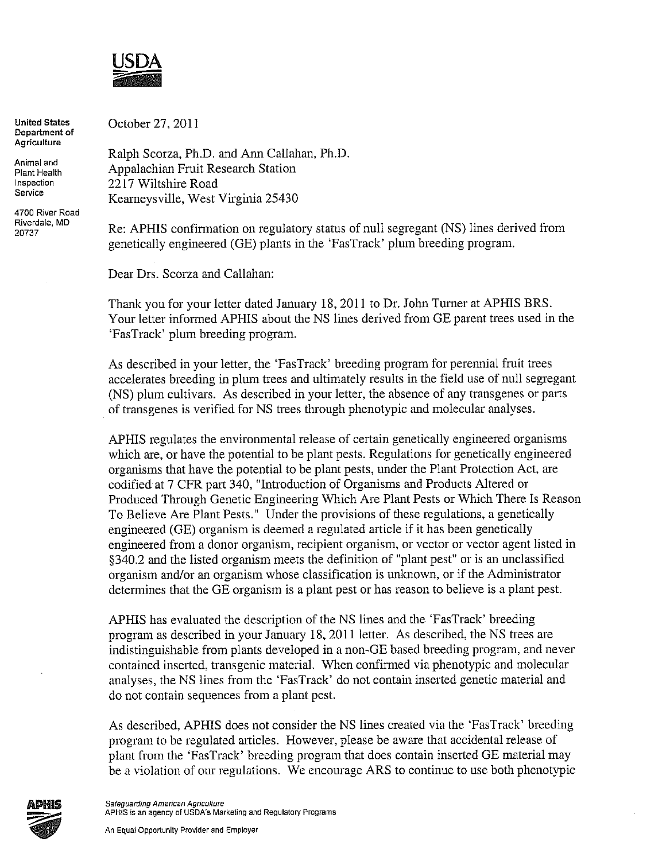

**United States Department of Agriculture** 

**Animal and Plant Health Inspection Service** 

**4700 River Road Riverdale, MD**  20737

October 27, 2011

Ralph Scorza, Ph.D. and Ann Callahan, Ph.D. Appalachian Fruit Research Station 2217 Wiltshire Road Kearneysville, West Virginia 25430

Re: APHIS confirmation on regulatory status of null segregant (NS) lines derived from genetically engineered (GE) plants in the 'FasTrack' plum breeding program.

Dear Drs. Scorza and Callahan:

Thank you for your letter dated January 18, 2011 to Dr. John Turner at APHIS BRS. Your letter informed APHIS about the NS lines derived from GE parent trees used in the 'FasTrack' plum breeding program.

As described in your letter, the 'FasTrack' breeding program for perennial fruit trees accelerates breeding in plum trees and ultimately results in the field use of null segregant (NS) plum cultivars. As described in your letter, the absence of any transgenes or parts of trans genes is verified for NS trees through phenotypic and molecular analyses.

APHIS regulates the environmental release of certain genetically engineered organisms which are, or have the potential to be plant pests. Regulations for genetically engineered organisms that have the potential to be plant pests, under the Plant Protection Act, are codified at 7 CFR part 340, "Introduction of Organisms and Products Altered or Produced Through Genetic Engineering Which Are Plant Pests or Which There Is Reason To Believe Are Plant Pests." Under the provisions of these regulations, a genetically engineered (GE) organism is deemed a regulated article if it has been genetically engineered from a donor organism, recipient organism, or vector or vector agent listed in §340.2 and the listed organism meets the definition of "plant pest" or is an unclassified organism and/or an organism whose classification is unknown, or if the Administrator determines that the GE organism is a plant pest or has reason to believe is a plant pest.

APHIS has evaluated the description of the NS lines and the 'FasTrack' breeding program as described in your January 18, 2011 letter. As described, the NS trees are indistinguishable from plants developed in a non-GE based breeding program, and never contained inserted, transgenic material. When confirmed via phenotypic and molecular analyses, the NS lines from the 'FasTrack' do not contain inserted genetic material and do not contain sequences from a plant pest.

As described, APHIS does not consider the NS lines created via the 'FasTrack' breeding program to be regulated articles. However, please be aware that accidental release of plant from the 'FasTrack' breeding program that does contain inserted GE material may be a violation of our regulations. We encourage ARS to continue to use both phenotypic